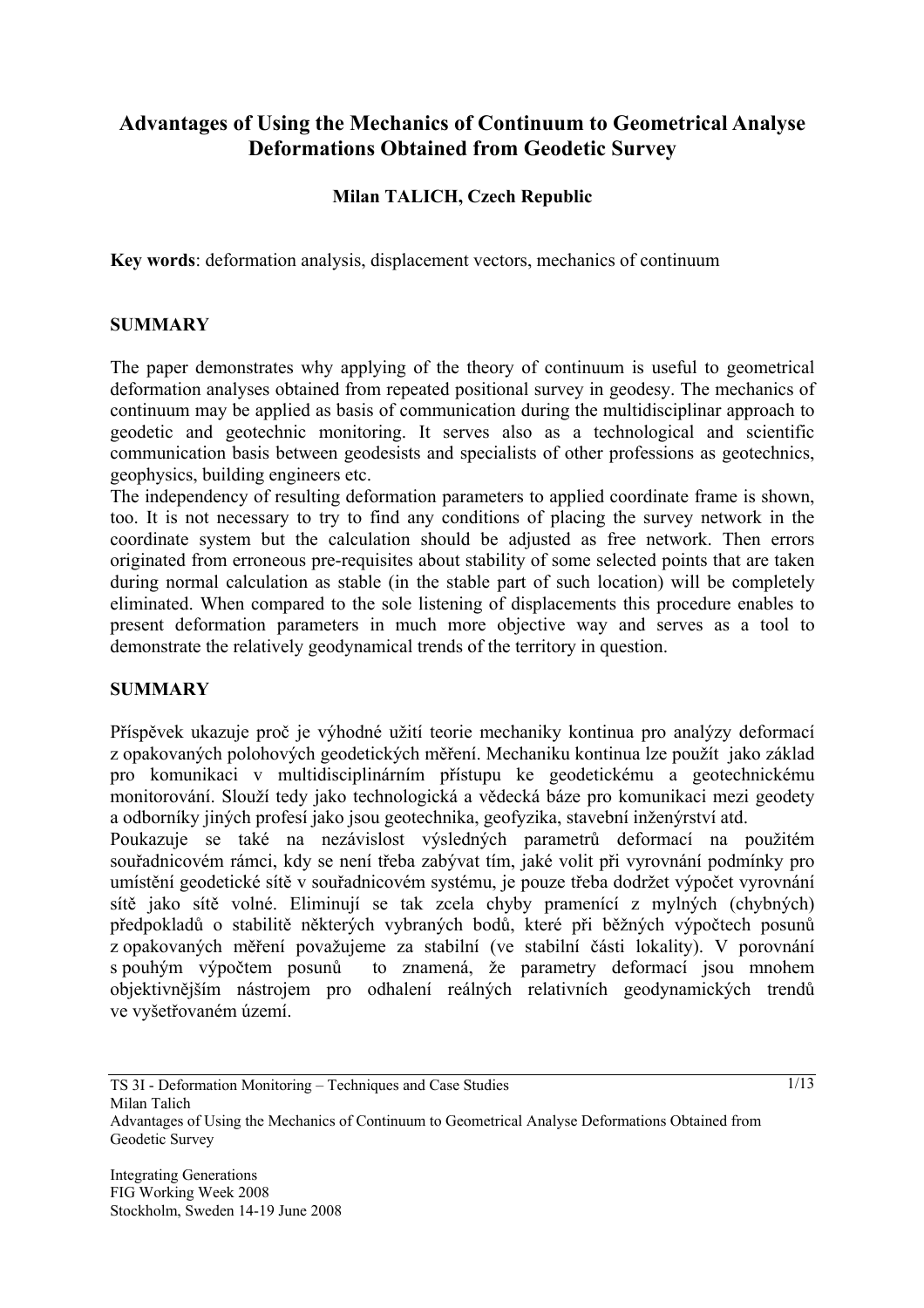# **Advantages of Using the Mechanics of Continuum to Geometrical Analyse Deformations Obtained from Geodetic Survey**

### **Milan TALICH, Czech Republic**

**Key words**: deformation analysis, displacement vectors, mechanics of continuum

#### **SUMMARY**

The paper demonstrates why applying of the theory of continuum is useful to geometrical deformation analyses obtained from repeated positional survey in geodesy. The mechanics of continuum may be applied as basis of communication during the multidisciplinar approach to geodetic and geotechnic monitoring. It serves also as a technological and scientific communication basis between geodesists and specialists of other professions as geotechnics, geophysics, building engineers etc.

The independency of resulting deformation parameters to applied coordinate frame is shown, too. It is not necessary to try to find any conditions of placing the survey network in the coordinate system but the calculation should be adjusted as free network. Then errors originated from erroneous pre-requisites about stability of some selected points that are taken during normal calculation as stable (in the stable part of such location) will be completely eliminated. When compared to the sole listening of displacements this procedure enables to present deformation parameters in much more objective way and serves as a tool to demonstrate the relatively geodynamical trends of the territory in question.

#### **SUMMARY**

Příspěvek ukazuje proč je výhodné užití teorie mechaniky kontinua pro analýzy deformací z opakovaných polohových geodetických měření. Mechaniku kontinua lze použít jako základ pro komunikaci v multidisciplinárním přístupu ke geodetickému a geotechnickému monitorování. Slouží tedy jako technologická a vědecká báze pro komunikaci mezi geodety a odborníky jiných profesí jako jsou geotechnika, geofyzika, stavební inženýrství atd.

Poukazuje se také na nezávislost výsledných parametrů deformací na použitém souřadnicovém rámci, kdy se není třeba zabývat tím, jaké volit při vyrovnání podmínky pro umístění geodetické sítě v souřadnicovém systému, je pouze třeba dodržet výpočet vyrovnání sítě jako sítě volné. Eliminují se tak zcela chyby pramenící z mylných (chybných) předpokladů o stabilitě některých vybraných bodů, které při běžných výpočtech posunů z opakovaných měření považujeme za stabilní (ve stabilní části lokality). V porovnání s pouhým výpočtem posunů to znamená, že parametry deformací jsou mnohem objektivnějším nástrojem pro odhalení reálných relativních geodynamických trendů ve vyšetřovaném území.

1/13

Advantages of Using the Mechanics of Continuum to Geometrical Analyse Deformations Obtained from Geodetic Survey

TS 3I - Deformation Monitoring – Techniques and Case Studies Milan Talich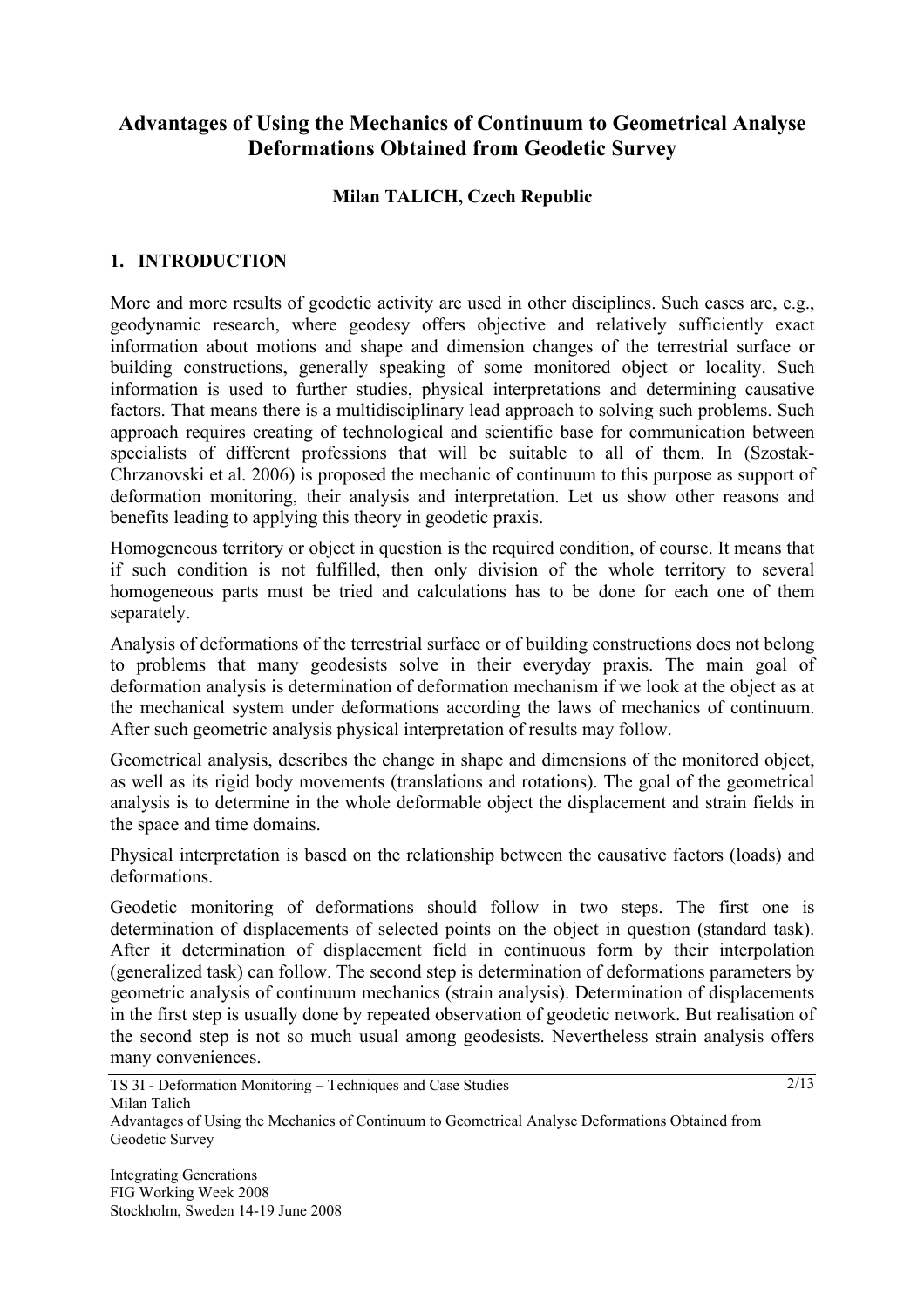# **Advantages of Using the Mechanics of Continuum to Geometrical Analyse Deformations Obtained from Geodetic Survey**

### **Milan TALICH, Czech Republic**

### **1. INTRODUCTION**

More and more results of geodetic activity are used in other disciplines. Such cases are, e.g., geodynamic research, where geodesy offers objective and relatively sufficiently exact information about motions and shape and dimension changes of the terrestrial surface or building constructions, generally speaking of some monitored object or locality. Such information is used to further studies, physical interpretations and determining causative factors. That means there is a multidisciplinary lead approach to solving such problems. Such approach requires creating of technological and scientific base for communication between specialists of different professions that will be suitable to all of them. In (Szostak-Chrzanovski et al. 2006) is proposed the mechanic of continuum to this purpose as support of deformation monitoring, their analysis and interpretation. Let us show other reasons and benefits leading to applying this theory in geodetic praxis.

Homogeneous territory or object in question is the required condition, of course. It means that if such condition is not fulfilled, then only division of the whole territory to several homogeneous parts must be tried and calculations has to be done for each one of them separately.

Analysis of deformations of the terrestrial surface or of building constructions does not belong to problems that many geodesists solve in their everyday praxis. The main goal of deformation analysis is determination of deformation mechanism if we look at the object as at the mechanical system under deformations according the laws of mechanics of continuum. After such geometric analysis physical interpretation of results may follow.

Geometrical analysis, describes the change in shape and dimensions of the monitored object, as well as its rigid body movements (translations and rotations). The goal of the geometrical analysis is to determine in the whole deformable object the displacement and strain fields in the space and time domains.

Physical interpretation is based on the relationship between the causative factors (loads) and deformations.

Geodetic monitoring of deformations should follow in two steps. The first one is determination of displacements of selected points on the object in question (standard task). After it determination of displacement field in continuous form by their interpolation (generalized task) can follow. The second step is determination of deformations parameters by geometric analysis of continuum mechanics (strain analysis). Determination of displacements in the first step is usually done by repeated observation of geodetic network. But realisation of the second step is not so much usual among geodesists. Nevertheless strain analysis offers many conveniences.

TS 3I - Deformation Monitoring – Techniques and Case Studies Milan Talich

Advantages of Using the Mechanics of Continuum to Geometrical Analyse Deformations Obtained from Geodetic Survey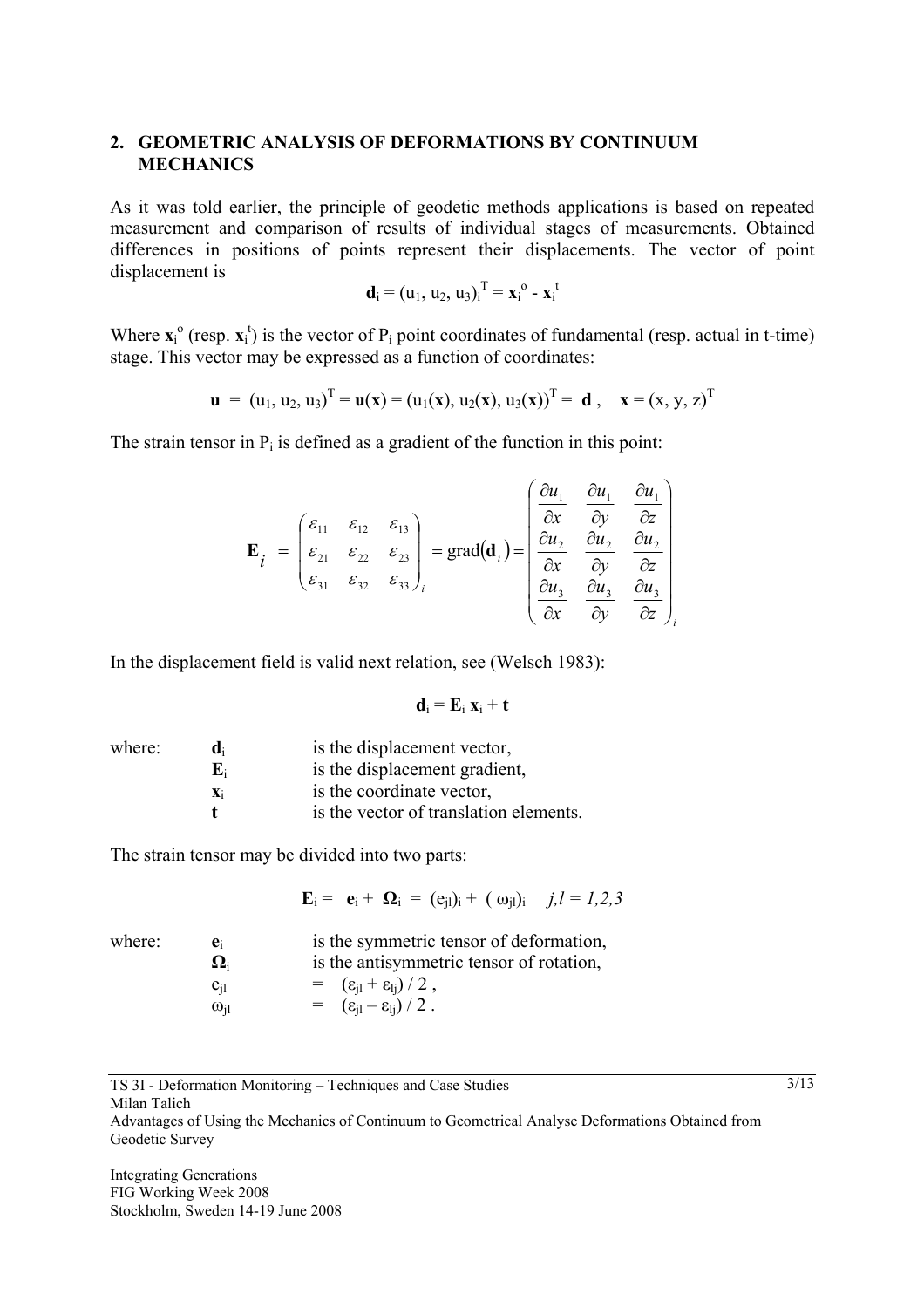#### **2. GEOMETRIC ANALYSIS OF DEFORMATIONS BY CONTINUUM MECHANICS**

As it was told earlier, the principle of geodetic methods applications is based on repeated measurement and comparison of results of individual stages of measurements. Obtained differences in positions of points represent their displacements. The vector of point displacement is

$$
\mathbf{d}_i = (u_1, u_2, u_3)_i^T = \mathbf{x}_i^o - \mathbf{x}_i^t
$$

Where  $\mathbf{x}_i^{\text{o}}$  (resp.  $\mathbf{x}_i^{\text{t}}$ ) is the vector of P<sub>i</sub> point coordinates of fundamental (resp. actual in t-time) stage. This vector may be expressed as a function of coordinates:

$$
\mathbf{u} = (u_1, u_2, u_3)^T = \mathbf{u}(\mathbf{x}) = (u_1(\mathbf{x}), u_2(\mathbf{x}), u_3(\mathbf{x}))^T = \mathbf{d}, \quad \mathbf{x} = (x, y, z)^T
$$

The strain tensor in  $P_i$  is defined as a gradient of the function in this point:

$$
\mathbf{E}_{i} = \begin{pmatrix} \varepsilon_{11} & \varepsilon_{12} & \varepsilon_{13} \\ \varepsilon_{21} & \varepsilon_{22} & \varepsilon_{23} \\ \varepsilon_{31} & \varepsilon_{32} & \varepsilon_{33} \end{pmatrix}_{i} = \text{grad}(\mathbf{d}_{i}) = \begin{pmatrix} \frac{\partial u_{1}}{\partial x} & \frac{\partial u_{1}}{\partial y} & \frac{\partial u_{1}}{\partial z} \\ \frac{\partial u_{2}}{\partial x} & \frac{\partial u_{2}}{\partial y} & \frac{\partial u_{2}}{\partial z} \\ \frac{\partial u_{3}}{\partial x} & \frac{\partial u_{3}}{\partial y} & \frac{\partial u_{3}}{\partial z} \end{pmatrix}_{i}
$$

In the displacement field is valid next relation, see (Welsch 1983):

$$
\mathbf{d}_i = \mathbf{E}_i \; \mathbf{x}_i + \mathbf{t}
$$

| where: | d.             | is the displacement vector,            |
|--------|----------------|----------------------------------------|
|        | E.             | is the displacement gradient,          |
|        | $\mathbf{X}_1$ | is the coordinate vector,              |
|        |                | is the vector of translation elements. |

The strain tensor may be divided into two parts:

 $\mathbf{E}_i = \mathbf{e}_i + \mathbf{\Omega}_i = (\mathbf{e}_{i1})_i + (\omega_{i1})_i$  *j,l = 1,2,3* 

| where: | e.                             | is the symmetric tensor of deformation,               |
|--------|--------------------------------|-------------------------------------------------------|
|        | $\mathbf{\Omega}_{\mathrm{i}}$ | is the antisymmetric tensor of rotation,              |
|        | $e_{i1}$                       | $= (\varepsilon_{\rm il} + \varepsilon_{\rm li})/2$ , |
|        | $\omega_{\rm ii}$              | $= (\varepsilon_{\rm il} - \varepsilon_{\rm li})/2$ . |

TS 3I - Deformation Monitoring – Techniques and Case Studies

Milan Talich

Advantages of Using the Mechanics of Continuum to Geometrical Analyse Deformations Obtained from Geodetic Survey

$$
3/13
$$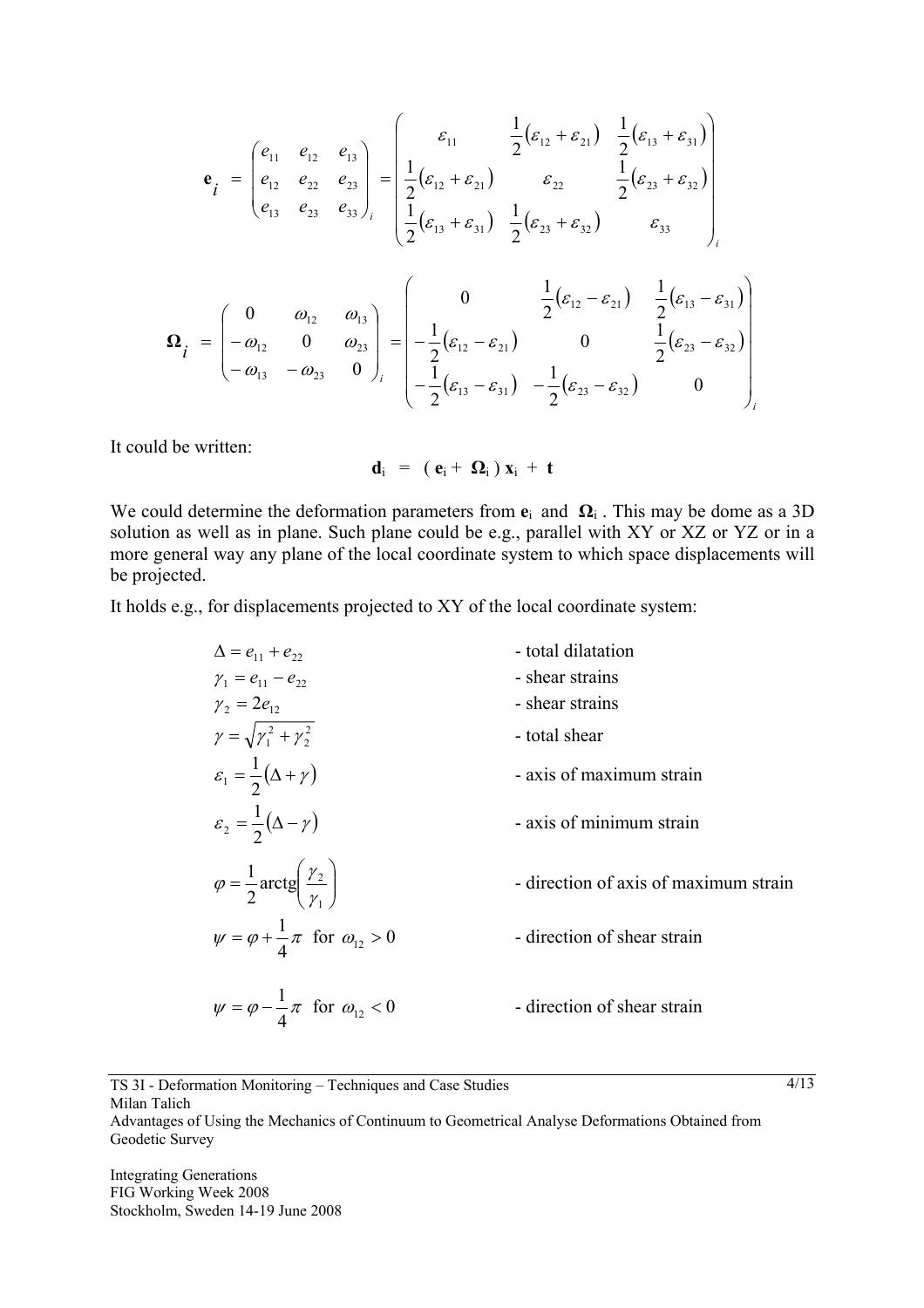$$
\mathbf{e}_{i} = \begin{pmatrix} e_{11} & e_{12} & e_{13} \\ e_{12} & e_{22} & e_{23} \\ e_{13} & e_{23} & e_{33} \end{pmatrix}_{i} = \begin{pmatrix} \varepsilon_{11} & \frac{1}{2}(\varepsilon_{12} + \varepsilon_{21}) & \frac{1}{2}(\varepsilon_{13} + \varepsilon_{31}) \\ \frac{1}{2}(\varepsilon_{12} + \varepsilon_{21}) & \varepsilon_{22} & \frac{1}{2}(\varepsilon_{23} + \varepsilon_{32}) \\ \frac{1}{2}(\varepsilon_{13} + \varepsilon_{31}) & \frac{1}{2}(\varepsilon_{23} + \varepsilon_{32}) & \varepsilon_{33} \end{pmatrix}_{i}
$$

$$
\mathbf{\Omega}_{i} = \begin{pmatrix} 0 & \omega_{12} & \omega_{13} \\ -\omega_{12} & 0 & \omega_{23} \\ -\omega_{13} & -\omega_{23} & 0 \end{pmatrix}_{i} = \begin{pmatrix} 0 & \frac{1}{2}(\varepsilon_{12} - \varepsilon_{21}) & \frac{1}{2}(\varepsilon_{12} - \varepsilon_{21}) & \frac{1}{2}(\varepsilon_{23} - \varepsilon_{32}) \\ -\frac{1}{2}(\varepsilon_{13} - \varepsilon_{31}) & -\frac{1}{2}(\varepsilon_{23} - \varepsilon_{32}) & 0 \end{pmatrix}_{i}
$$

It could be written:

$$
d_i = (e_i + \Omega_i) x_i + t
$$

We could determine the deformation parameters from  $e_i$  and  $\Omega_i$ . This may be dome as a 3D solution as well as in plane. Such plane could be e.g., parallel with XY or XZ or YZ or in a more general way any plane of the local coordinate system to which space displacements will be projected.

It holds e.g., for displacements projected to XY of the local coordinate system:

$$
\Delta = e_{11} + e_{22}
$$
 - total dilatation  
\n
$$
\gamma_1 = e_{11} - e_{22}
$$
 - shear strains  
\n
$$
\gamma_2 = 2e_{12}
$$
 - shear strains  
\n
$$
\gamma = \sqrt{\gamma_1^2 + \gamma_2^2}
$$
 - total shear  
\n
$$
\varepsilon_1 = \frac{1}{2}(\Delta + \gamma)
$$
 - axis of maximum strain  
\n
$$
\varepsilon_2 = \frac{1}{2}(\Delta - \gamma)
$$
 - axis of minimum strain  
\n
$$
\varphi = \frac{1}{2}\arctg\left(\frac{\gamma_2}{\gamma_1}\right)
$$
 - direction of axis of maximum strain  
\n
$$
\psi = \varphi + \frac{1}{4}\pi
$$
 for  $\omega_{12} > 0$  - direction of shear strain  
\n
$$
\psi = \varphi - \frac{1}{4}\pi
$$
 for  $\omega_{12} < 0$  - direction of shear strain

TS 3I - Deformation Monitoring – Techniques and Case Studies Milan Talich

Advantages of Using the Mechanics of Continuum to Geometrical Analyse Deformations Obtained from Geodetic Survey

Integrating Generations FIG Working Week 2008 Stockholm, Sweden 14-19 June 2008  $4/13$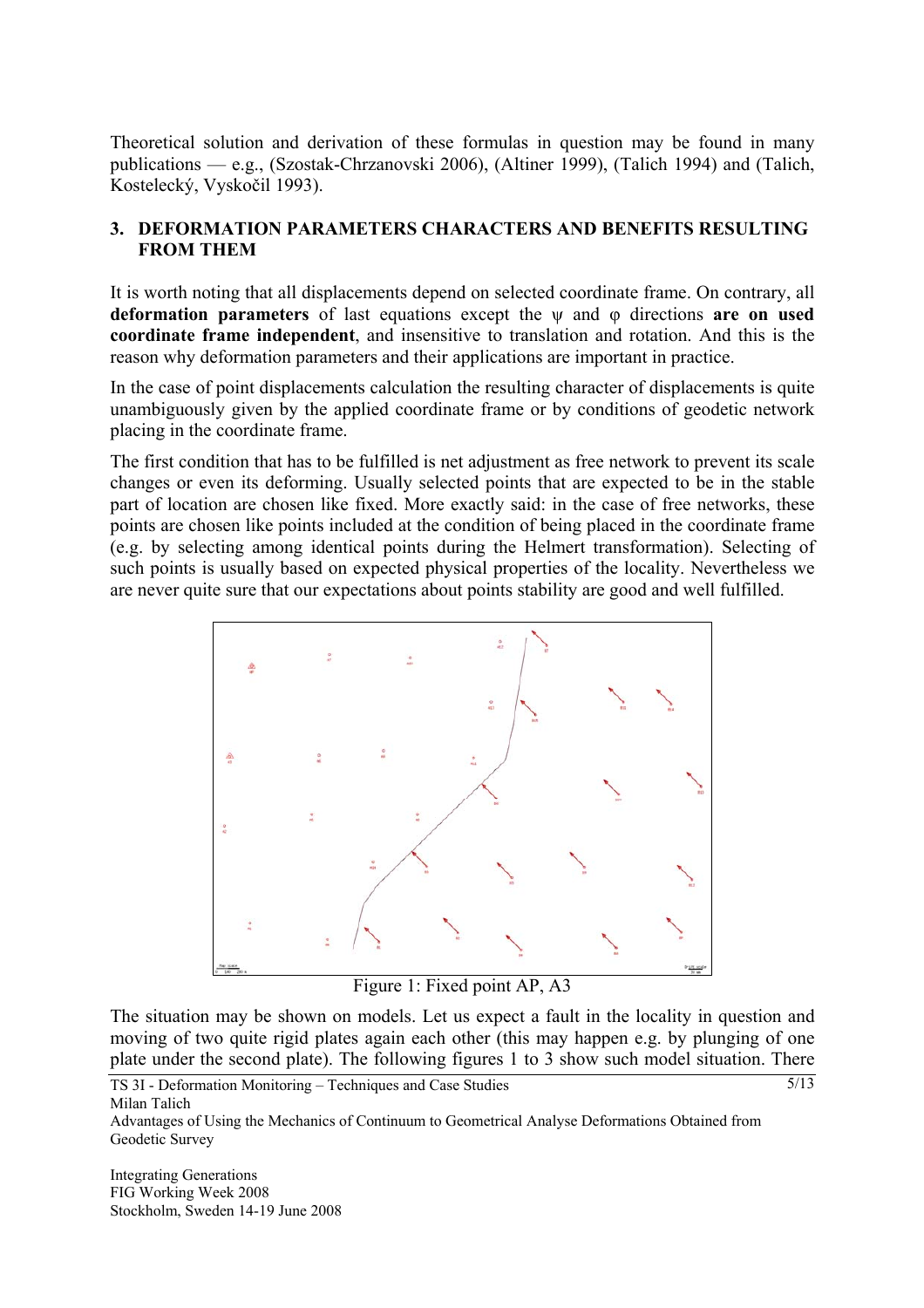Theoretical solution and derivation of these formulas in question may be found in many publications — e.g., (Szostak-Chrzanovski 2006), (Altiner 1999), (Talich 1994) and (Talich, Kostelecký, Vyskočil 1993).

### **3. DEFORMATION PARAMETERS CHARACTERS AND BENEFITS RESULTING FROM THEM**

It is worth noting that all displacements depend on selected coordinate frame. On contrary, all **deformation parameters** of last equations except the ψ and φ directions **are on used coordinate frame independent**, and insensitive to translation and rotation. And this is the reason why deformation parameters and their applications are important in practice.

In the case of point displacements calculation the resulting character of displacements is quite unambiguously given by the applied coordinate frame or by conditions of geodetic network placing in the coordinate frame.

The first condition that has to be fulfilled is net adjustment as free network to prevent its scale changes or even its deforming. Usually selected points that are expected to be in the stable part of location are chosen like fixed. More exactly said: in the case of free networks, these points are chosen like points included at the condition of being placed in the coordinate frame (e.g. by selecting among identical points during the Helmert transformation). Selecting of such points is usually based on expected physical properties of the locality. Nevertheless we are never quite sure that our expectations about points stability are good and well fulfilled.



Figure 1: Fixed point AP, A3

The situation may be shown on models. Let us expect a fault in the locality in question and moving of two quite rigid plates again each other (this may happen e.g. by plunging of one plate under the second plate). The following figures 1 to 3 show such model situation. There

 $\sqrt{5/13}$ 

TS 3I - Deformation Monitoring – Techniques and Case Studies Milan Talich

Advantages of Using the Mechanics of Continuum to Geometrical Analyse Deformations Obtained from Geodetic Survey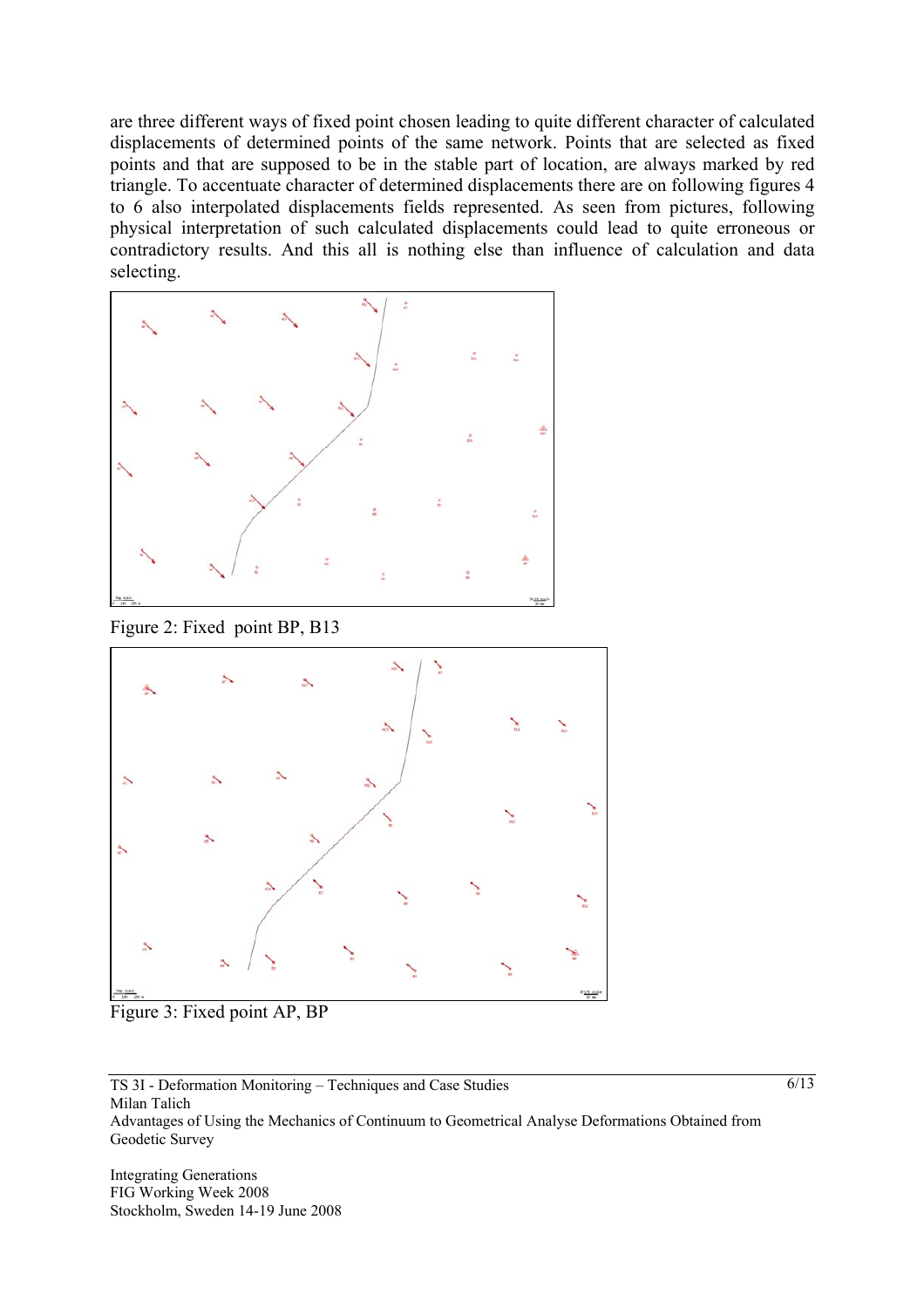are three different ways of fixed point chosen leading to quite different character of calculated displacements of determined points of the same network. Points that are selected as fixed points and that are supposed to be in the stable part of location, are always marked by red triangle. To accentuate character of determined displacements there are on following figures 4 to 6 also interpolated displacements fields represented. As seen from pictures, following physical interpretation of such calculated displacements could lead to quite erroneous or contradictory results. And this all is nothing else than influence of calculation and data selecting.



Figure 2: Fixed point BP, B13



Figure 3: Fixed point AP, BP

TS 3I - Deformation Monitoring – Techniques and Case Studies Milan Talich Advantages of Using the Mechanics of Continuum to Geometrical Analyse Deformations Obtained from Geodetic Survey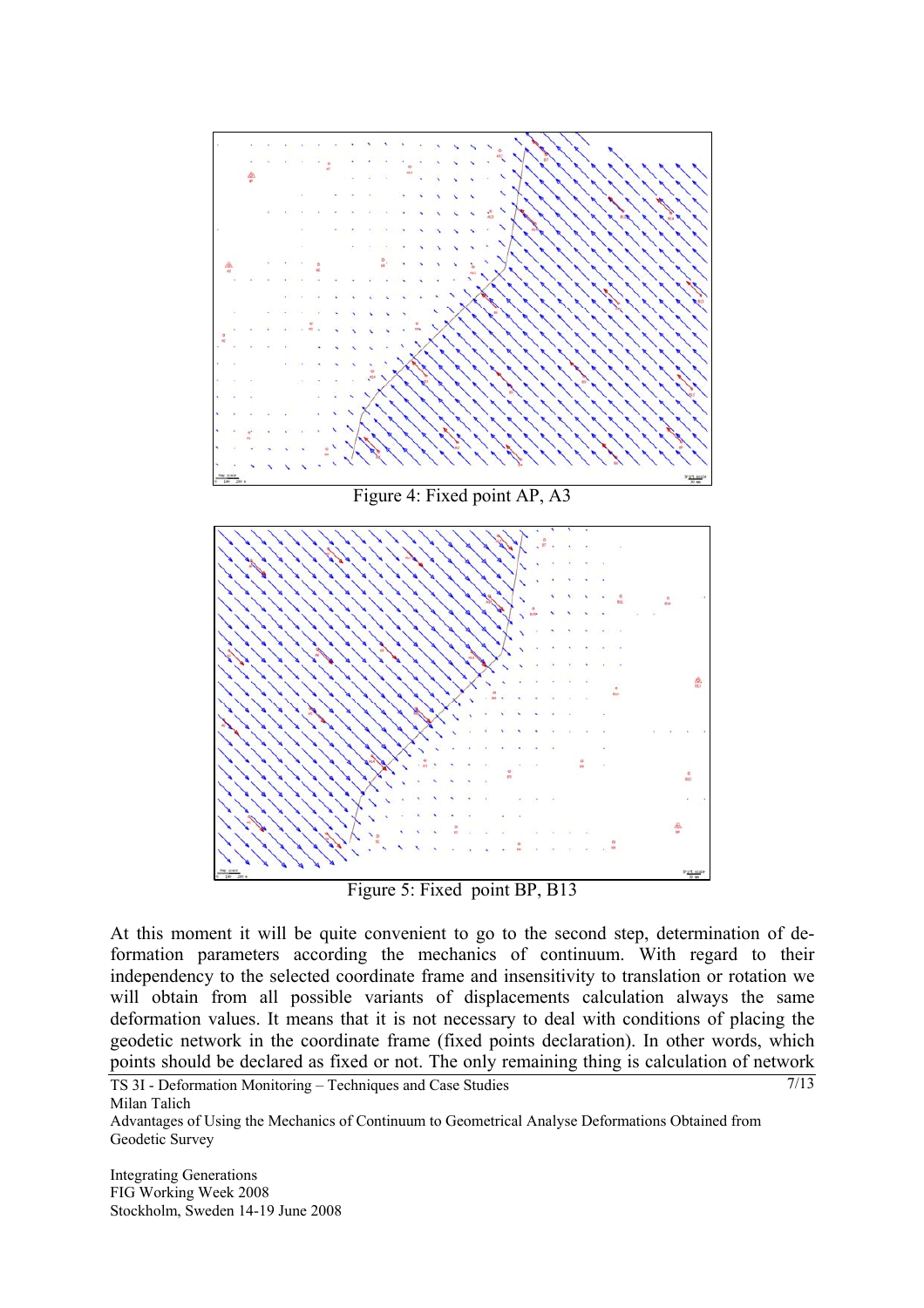

At this moment it will be quite convenient to go to the second step, determination of deformation parameters according the mechanics of continuum. With regard to their independency to the selected coordinate frame and insensitivity to translation or rotation we will obtain from all possible variants of displacements calculation always the same deformation values. It means that it is not necessary to deal with conditions of placing the geodetic network in the coordinate frame (fixed points declaration). In other words, which points should be declared as fixed or not. The only remaining thing is calculation of network

7/13

TS 3I - Deformation Monitoring – Techniques and Case Studies Milan Talich

Advantages of Using the Mechanics of Continuum to Geometrical Analyse Deformations Obtained from Geodetic Survey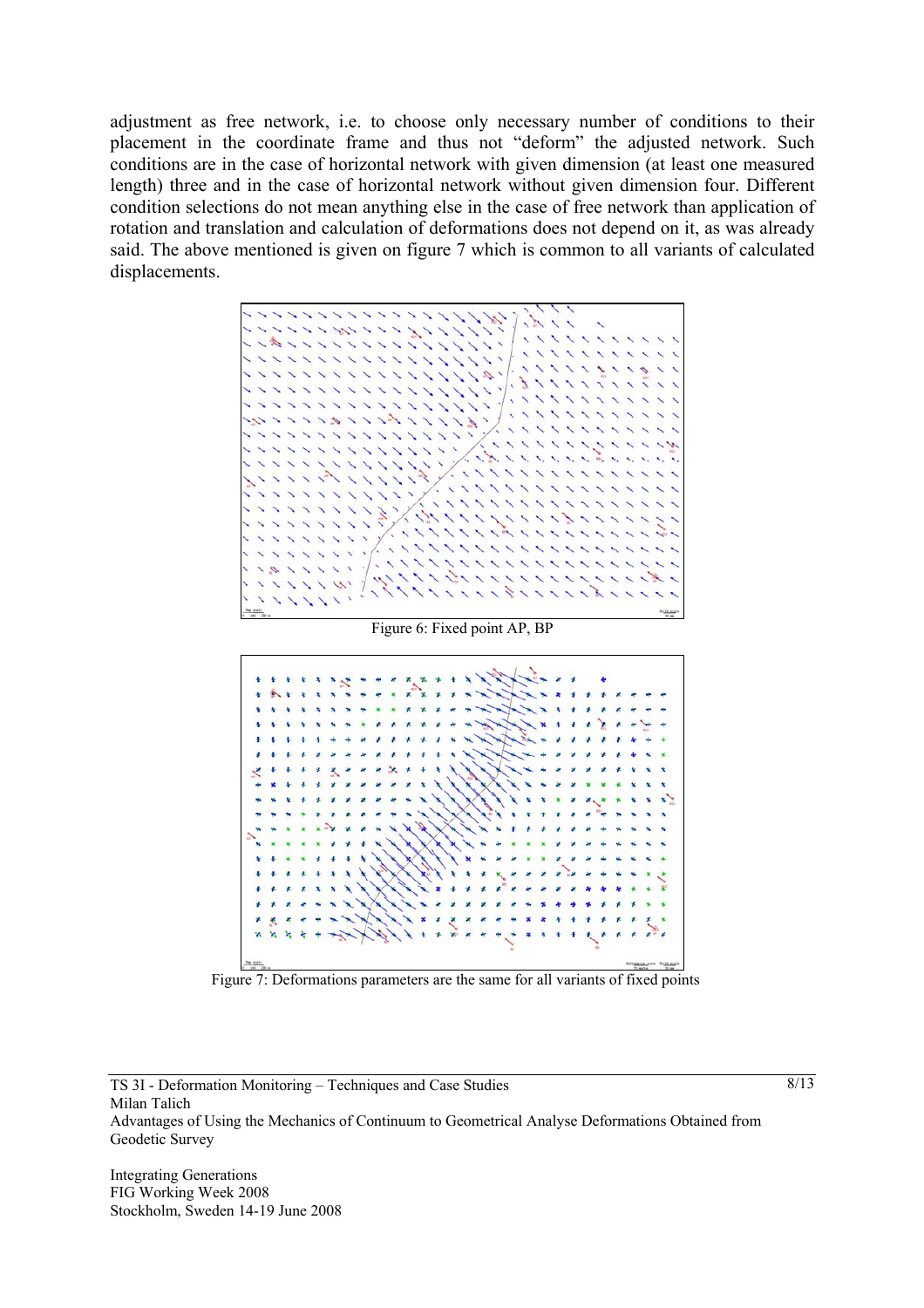adjustment as free network, i.e. to choose only necessary number of conditions to their placement in the coordinate frame and thus not "deform" the adjusted network. Such conditions are in the case of horizontal network with given dimension (at least one measured length) three and in the case of horizontal network without given dimension four. Different condition selections do not mean anything else in the case of free network than application of rotation and translation and calculation of deformations does not depend on it, as was already said. The above mentioned is given on figure 7 which is common to all variants of calculated displacements.





Figure 7: Deformations parameters are the same for all variants of fixed points

TS 3I - Deformation Monitoring – Techniques and Case Studies Milan Talich Advantages of Using the Mechanics of Continuum to Geometrical Analyse Deformations Obtained from Geodetic Survey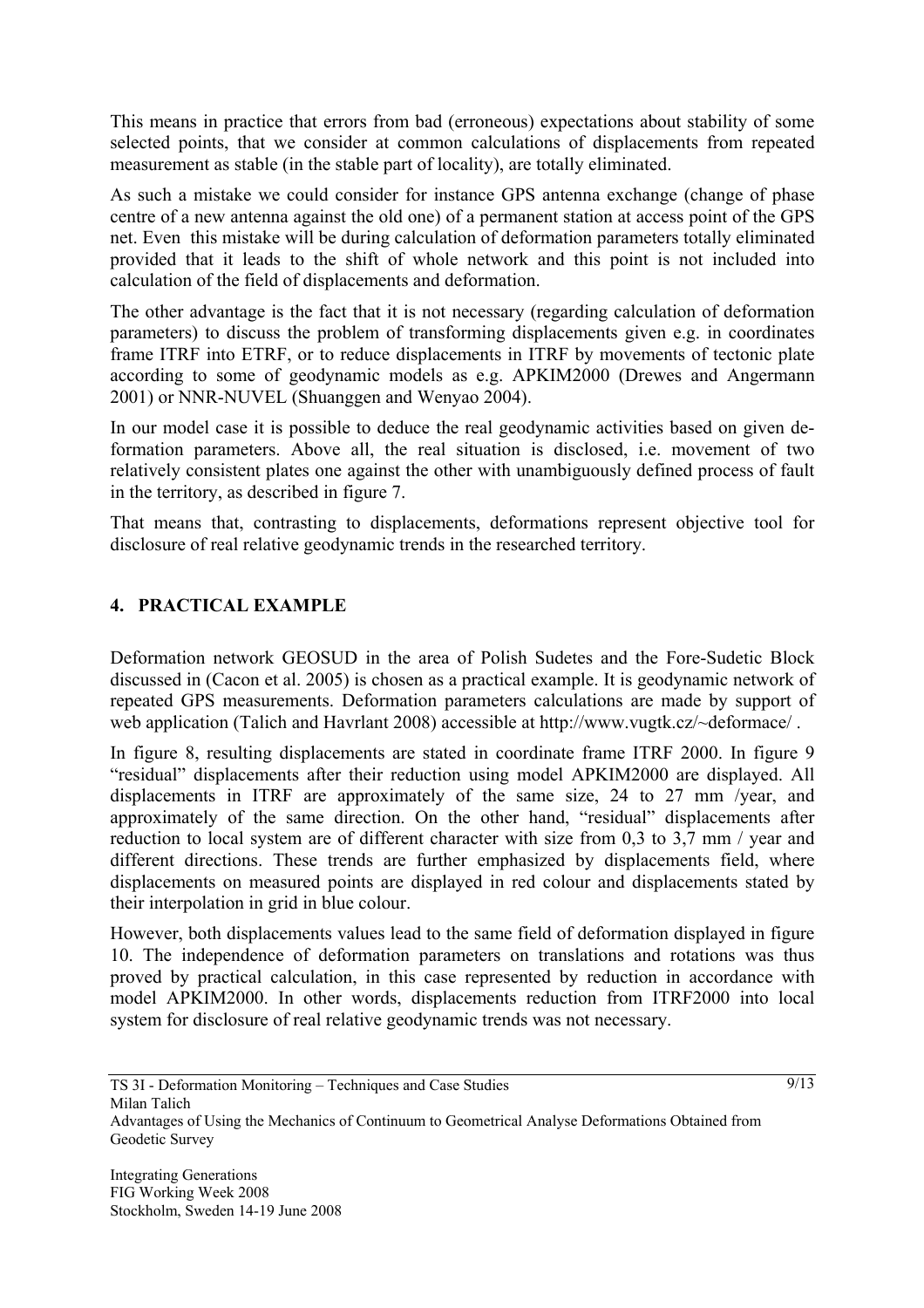This means in practice that errors from bad (erroneous) expectations about stability of some selected points, that we consider at common calculations of displacements from repeated measurement as stable (in the stable part of locality), are totally eliminated.

As such a mistake we could consider for instance GPS antenna exchange (change of phase centre of a new antenna against the old one) of a permanent station at access point of the GPS net. Even this mistake will be during calculation of deformation parameters totally eliminated provided that it leads to the shift of whole network and this point is not included into calculation of the field of displacements and deformation.

The other advantage is the fact that it is not necessary (regarding calculation of deformation parameters) to discuss the problem of transforming displacements given e.g. in coordinates frame ITRF into ETRF, or to reduce displacements in ITRF by movements of tectonic plate according to some of geodynamic models as e.g. APKIM2000 (Drewes and Angermann 2001) or NNR-NUVEL (Shuanggen and Wenyao 2004).

In our model case it is possible to deduce the real geodynamic activities based on given deformation parameters. Above all, the real situation is disclosed, i.e. movement of two relatively consistent plates one against the other with unambiguously defined process of fault in the territory, as described in figure 7.

That means that, contrasting to displacements, deformations represent objective tool for disclosure of real relative geodynamic trends in the researched territory.

## **4. PRACTICAL EXAMPLE**

Deformation network GEOSUD in the area of Polish Sudetes and the Fore-Sudetic Block discussed in (Cacon et al. 2005) is chosen as a practical example. It is geodynamic network of repeated GPS measurements. Deformation parameters calculations are made by support of web application (Talich and Havrlant 2008) accessible at http://www.vugtk.cz/~deformace/ .

In figure 8, resulting displacements are stated in coordinate frame ITRF 2000. In figure 9 "residual" displacements after their reduction using model APKIM2000 are displayed. All displacements in ITRF are approximately of the same size, 24 to 27 mm /year, and approximately of the same direction. On the other hand, "residual" displacements after reduction to local system are of different character with size from 0,3 to 3,7 mm / year and different directions. These trends are further emphasized by displacements field, where displacements on measured points are displayed in red colour and displacements stated by their interpolation in grid in blue colour.

However, both displacements values lead to the same field of deformation displayed in figure 10. The independence of deformation parameters on translations and rotations was thus proved by practical calculation, in this case represented by reduction in accordance with model APKIM2000. In other words, displacements reduction from ITRF2000 into local system for disclosure of real relative geodynamic trends was not necessary.

Advantages of Using the Mechanics of Continuum to Geometrical Analyse Deformations Obtained from Geodetic Survey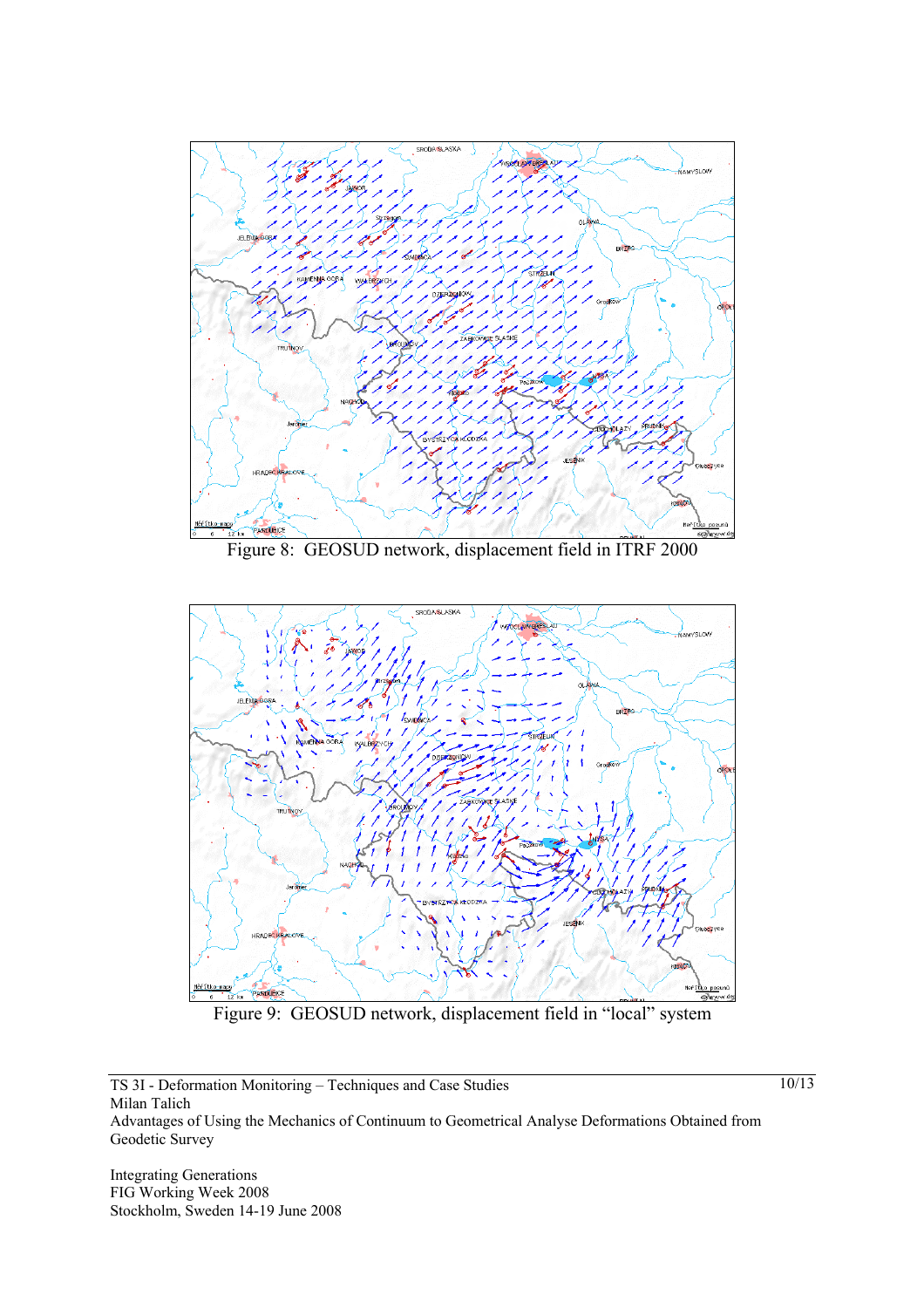

Figure 8: GEOSUD network, displacement field in ITRF 2000



Figure 9: GEOSUD network, displacement field in "local" system

TS 3I - Deformation Monitoring – Techniques and Case Studies Milan Talich Advantages of Using the Mechanics of Continuum to Geometrical Analyse Deformations Obtained from Geodetic Survey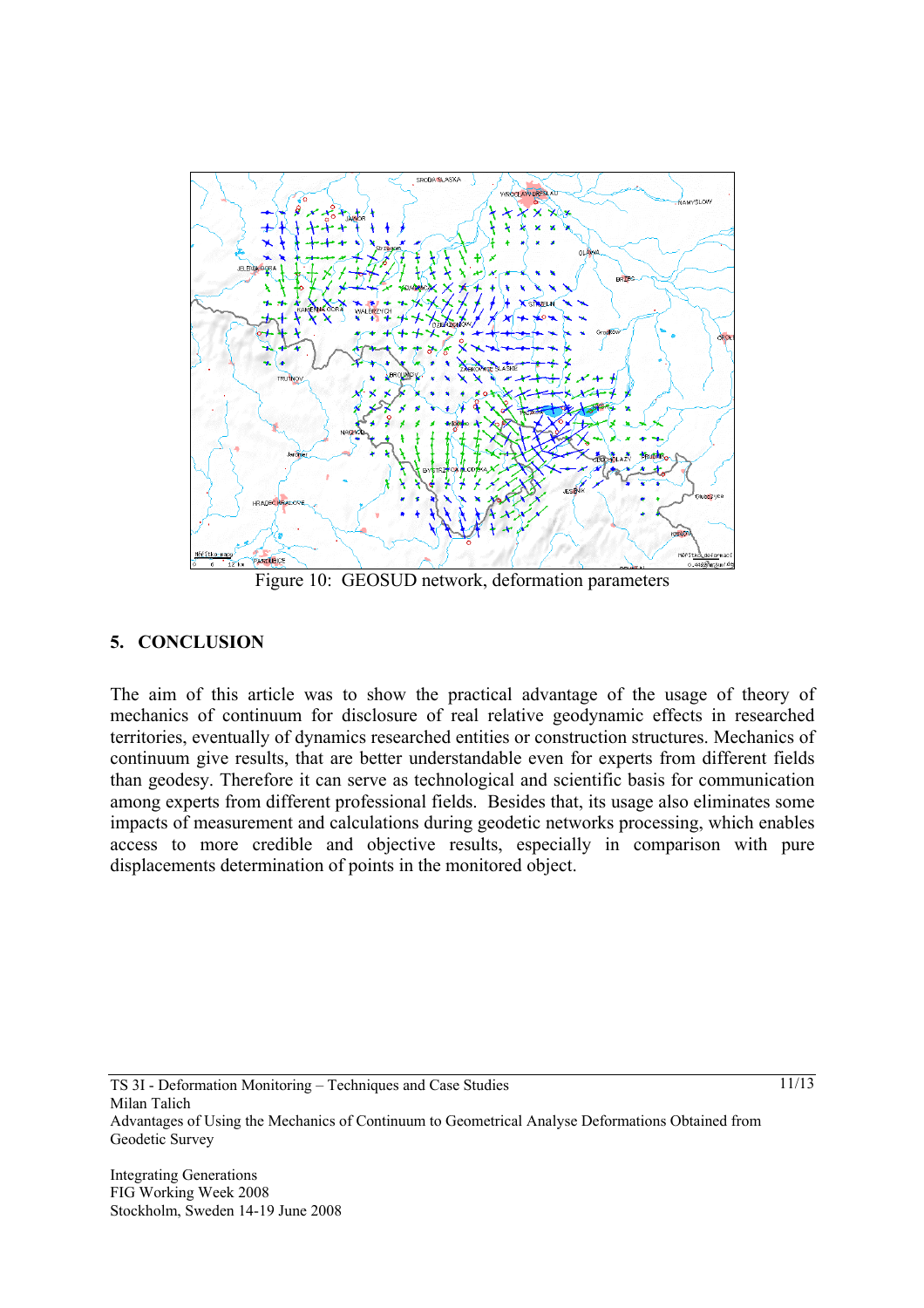

Figure 10: GEOSUD network, deformation parameters

### **5. CONCLUSION**

The aim of this article was to show the practical advantage of the usage of theory of mechanics of continuum for disclosure of real relative geodynamic effects in researched territories, eventually of dynamics researched entities or construction structures. Mechanics of continuum give results, that are better understandable even for experts from different fields than geodesy. Therefore it can serve as technological and scientific basis for communication among experts from different professional fields. Besides that, its usage also eliminates some impacts of measurement and calculations during geodetic networks processing, which enables access to more credible and objective results, especially in comparison with pure displacements determination of points in the monitored object.

Integrating Generations FIG Working Week 2008 Stockholm, Sweden 14-19 June 2008 11/13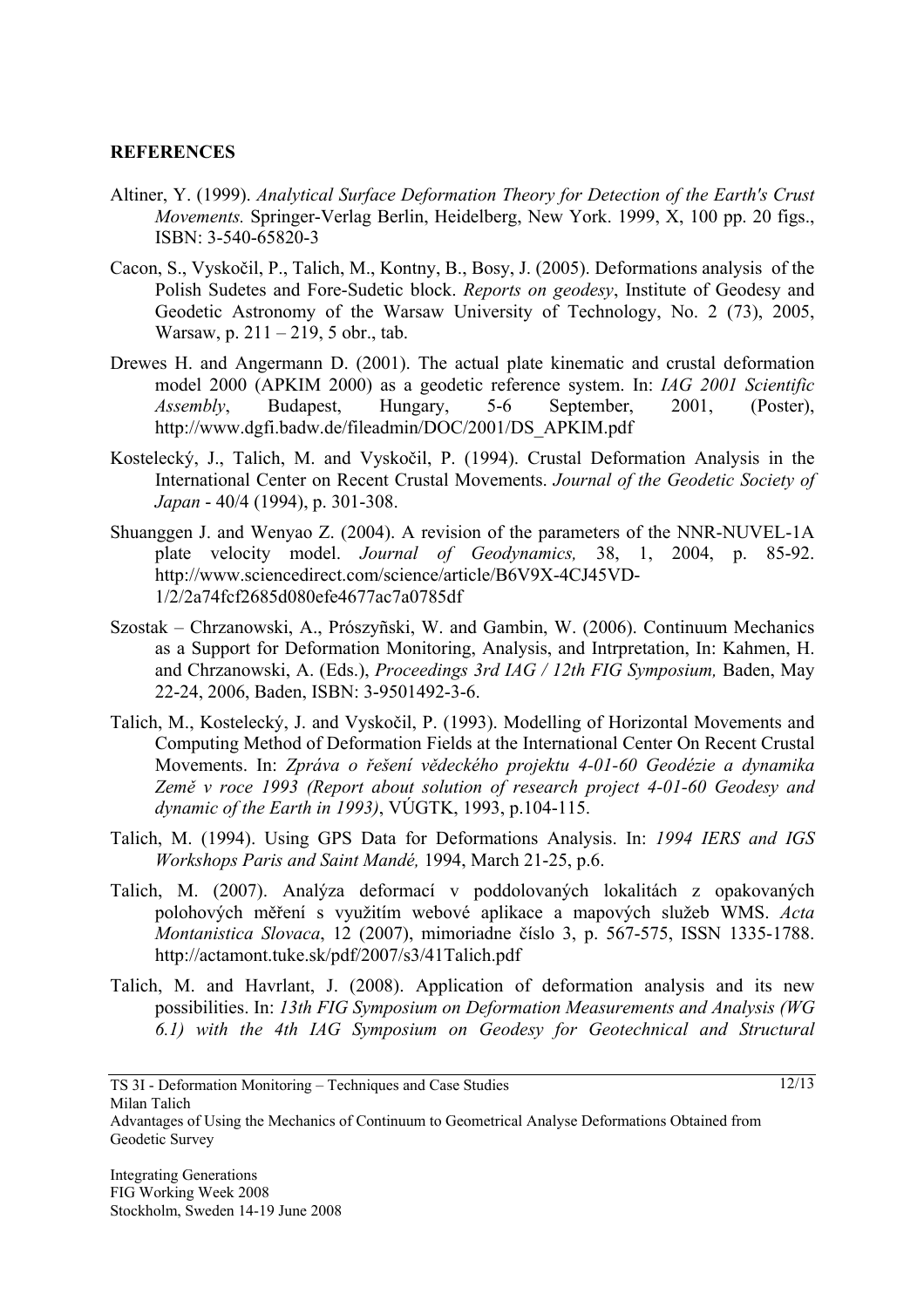#### **REFERENCES**

- Altiner, Y. (1999). *Analytical Surface Deformation Theory for Detection of the Earth's Crust Movements.* Springer-Verlag Berlin, Heidelberg, New York. 1999, X, 100 pp. 20 figs., ISBN: 3-540-65820-3
- Cacon, S., Vyskočil, P., Talich, M., Kontny, B., Bosy, J. (2005). Deformations analysis of the Polish Sudetes and Fore-Sudetic block. *Reports on geodesy*, Institute of Geodesy and Geodetic Astronomy of the Warsaw University of Technology, No. 2 (73), 2005, Warsaw, p. 211 – 219, 5 obr., tab.
- Drewes H. and Angermann D. (2001). The actual plate kinematic and crustal deformation model 2000 (APKIM 2000) as a geodetic reference system. In: *IAG 2001 Scientific Assembly*, Budapest, Hungary, 5-6 September, 2001, (Poster), http://www.dgfi.badw.de/fileadmin/DOC/2001/DS\_APKIM.pdf
- Kostelecký, J., Talich, M. and Vyskočil, P. (1994). Crustal Deformation Analysis in the International Center on Recent Crustal Movements. *Journal of the Geodetic Society of Japan* - 40/4 (1994), p. 301-308.
- Shuanggen J. and Wenyao Z. (2004). A revision of the parameters of the NNR-NUVEL-1A plate velocity model. *Journal of Geodynamics,* 38, 1, 2004, p. 85-92. http://www.sciencedirect.com/science/article/B6V9X-4CJ45VD-1/2/2a74fcf2685d080efe4677ac7a0785df
- Szostak Chrzanowski, A., Prószyñski, W. and Gambin, W. (2006). Continuum Mechanics as a Support for Deformation Monitoring, Analysis, and Intrpretation, In: Kahmen, H. and Chrzanowski, A. (Eds.), *Proceedings 3rd IAG / 12th FIG Symposium,* Baden, May 22-24, 2006, Baden, ISBN: 3-9501492-3-6.
- Talich, M., Kostelecký, J. and Vyskočil, P. (1993). Modelling of Horizontal Movements and Computing Method of Deformation Fields at the International Center On Recent Crustal Movements. In: *Zpráva o řešení vědeckého projektu 4-01-60 Geodézie a dynamika Země v roce 1993 (Report about solution of research project 4-01-60 Geodesy and dynamic of the Earth in 1993)*, VÚGTK, 1993, p.104-115.
- Talich, M. (1994). Using GPS Data for Deformations Analysis. In: *1994 IERS and IGS Workshops Paris and Saint Mandé,* 1994, March 21-25, p.6.
- Talich, M. (2007). Analýza deformací v poddolovaných lokalitách z opakovaných polohových měření s využitím webové aplikace a mapových služeb WMS. *Acta Montanistica Slovaca*, 12 (2007), mimoriadne číslo 3, p. 567-575, ISSN 1335-1788. http://actamont.tuke.sk/pdf/2007/s3/41Talich.pdf
- Talich, M. and Havrlant, J. (2008). Application of deformation analysis and its new possibilities. In: *13th FIG Symposium on Deformation Measurements and Analysis (WG 6.1) with the 4th IAG Symposium on Geodesy for Geotechnical and Structural*

Advantages of Using the Mechanics of Continuum to Geometrical Analyse Deformations Obtained from Geodetic Survey